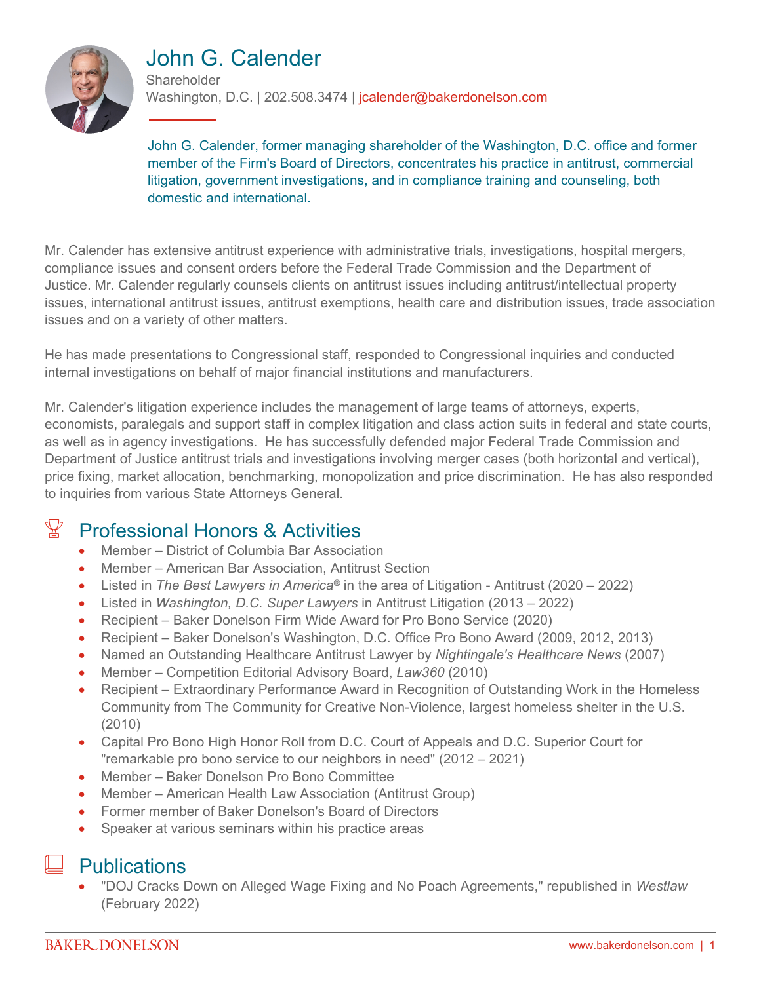

#### John G. Calender **Shareholder**

Washington, D.C. | 202.508.3474 | jcalender@bakerdonelson.com

John G. Calender, former managing shareholder of the Washington, D.C. office and former member of the Firm's Board of Directors, concentrates his practice in antitrust, commercial litigation, government investigations, and in compliance training and counseling, both domestic and international.

Mr. Calender has extensive antitrust experience with administrative trials, investigations, hospital mergers, compliance issues and consent orders before the Federal Trade Commission and the Department of Justice. Mr. Calender regularly counsels clients on antitrust issues including antitrust/intellectual property issues, international antitrust issues, antitrust exemptions, health care and distribution issues, trade association issues and on a variety of other matters.

He has made presentations to Congressional staff, responded to Congressional inquiries and conducted internal investigations on behalf of major financial institutions and manufacturers.

Mr. Calender's litigation experience includes the management of large teams of attorneys, experts, economists, paralegals and support staff in complex litigation and class action suits in federal and state courts, as well as in agency investigations. He has successfully defended major Federal Trade Commission and Department of Justice antitrust trials and investigations involving merger cases (both horizontal and vertical), price fixing, market allocation, benchmarking, monopolization and price discrimination. He has also responded to inquiries from various State Attorneys General.

#### $\mathbb{Y}$  Professional Honors & Activities

- Member District of Columbia Bar Association
- Member American Bar Association, Antitrust Section
- Listed in *The Best Lawyers in America*<sup>®</sup> in the area of Litigation Antitrust (2020 2022)
- Listed in *Washington, D.C. Super Lawyers* in Antitrust Litigation (2013 2022)
- Recipient Baker Donelson Firm Wide Award for Pro Bono Service (2020)
- Recipient Baker Donelson's Washington, D.C. Office Pro Bono Award (2009, 2012, 2013)
- Named an Outstanding Healthcare Antitrust Lawyer by *Nightingale's Healthcare News* (2007)
- Member Competition Editorial Advisory Board, *Law360* (2010)
- Recipient Extraordinary Performance Award in Recognition of Outstanding Work in the Homeless Community from The Community for Creative Non-Violence, largest homeless shelter in the U.S. (2010)
- Capital Pro Bono High Honor Roll from D.C. Court of Appeals and D.C. Superior Court for "remarkable pro bono service to our neighbors in need" (2012 – 2021)
- Member Baker Donelson Pro Bono Committee
- Member American Health Law Association (Antitrust Group)
- Former member of Baker Donelson's Board of Directors
- Speaker at various seminars within his practice areas

#### **Publications**

 "DOJ Cracks Down on Alleged Wage Fixing and No Poach Agreements," republished in *Westlaw* (February 2022)